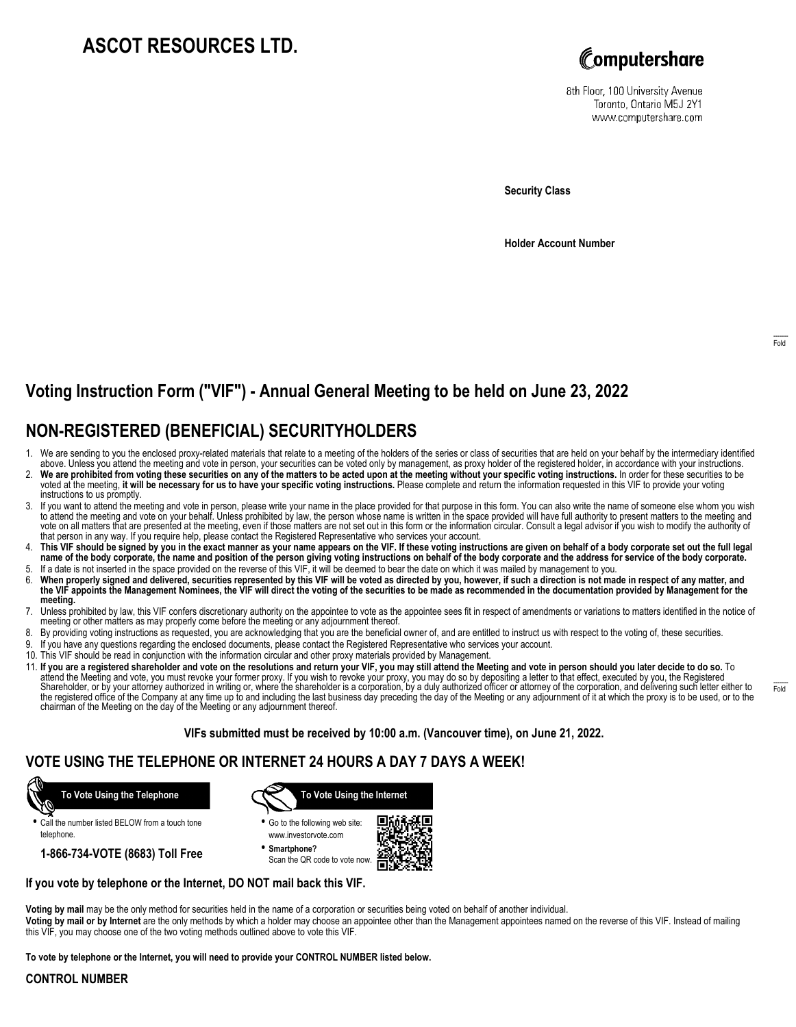# **ASCOT RESOURCES LTD.**



8th Floor, 100 University Avenue Toronto, Ontario M5J 2Y1 www.computershare.com

**Security Class**

**Holder Account Number**

------- Fold

# **Voting Instruction Form ("VIF") - Annual General Meeting to be held on June 23, 2022**

## **NON-REGISTERED (BENEFICIAL) SECURITYHOLDERS**

- 1. We are sending to you the enclosed proxy-related materials that relate to a meeting of the holders of the series or class of securities that are held on your behalf by the intermediary identified<br>above. Unless you atten
- 2. **We are prohibited from voting these securities on any of the matters to be acted upon at the meeting without your specific voting instructions.** In order for these securities to be voted at the meeting, **it will be necessary for us to have your specific voting instructions.** Please complete and return the information requested in this VIF to provide your voting instructions to us promptly.
- 3. If you want to attend the meeting and vote in person, please write your name in the place provided for that purpose in this form. You can also write the name of someone else whom you wish<br>to attend the meeting and vote vote on all matters that are presented at the meeting, even if those matters are not set out in this form or the information circular. Consult a legal advisor if you wish to modify the authority of that person in any way. If you require help, please contact the Registered Representative who services your account.
- 4. **This VIF should be signed by you in the exact manner as your name appears on the VIF. If these voting instructions are given on behalf of a body corporate set out the full legal name of the body corporate, the name and position of the person giving voting instructions on behalf of the body corporate and the address for service of the body corporate.** 5. If a date is not inserted in the space provided on the reverse of this VIF, it will be deemed to bear the date on which it was mailed by management to you.
- 6. When properly signed and delivered, securities represented by this VIF will be voted as directed by you, however, if such a direction is not made in respect of any matter, and<br>the VIF appoints the Management Nominees. t **meeting.**
- 7. Unless prohibited by law, this VIF confers discretionary authority on the appointee to vote as the appointee sees fit in respect of amendments or variations to matters identified in the notice of meeting or other matters as may properly come before the meeting or any adjournment thereof.
- 8. By providing voting instructions as requested, you are acknowledging that you are the beneficial owner of, and are entitled to instruct us with respect to the voting of, these securities.
- 9. If you have any questions regarding the enclosed documents, please contact the Registered Representative who services your account.
- 10. This VIF should be read in conjunction with the information circular and other proxy materials provided by Management.
- 11. **If you are a registered shareholder and vote on the resolutions and return your VIF, you may still attend the Meeting and vote in person should you later decide to do so.** To attend the Meeting and vote, you must revoke your former proxy. If you wish to revoke your proxy, you may do so by depositing a letter to that effect, executed by you, the Registered<br>Shareholder, or by your attorney author the registered office of the Company at any time up to and including the last business day preceding the day of the Meeting or any adjournment of it at which the proxy is to be used, or to the chairman of the Meeting on the day of the Meeting or any adjournment thereof.

**VIFs submitted must be received by 10:00 a.m. (Vancouver time), on June 21, 2022.**

### **VOTE USING THE TELEPHONE OR INTERNET 24 HOURS A DAY 7 DAYS A WEEK!**



**•** Call the number listed BELOW from a touch tone telephone.

**1-866-734-VOTE (8683) Toll Free**



- **•** Go to the following web site: www.investorvote.com
- **• Smartphone?** Scan the QR code to vote now.



### **If you vote by telephone or the Internet, DO NOT mail back this VIF.**

**Voting by mail** may be the only method for securities held in the name of a corporation or securities being voted on behalf of another individual.

**Voting by mail or by Internet** are the only methods by which a holder may choose an appointee other than the Management appointees named on the reverse of this VIF. Instead of mailing this VIF, you may choose one of the two voting methods outlined above to vote this VIF.

**To vote by telephone or the Internet, you will need to provide your CONTROL NUMBER listed below.**

### **CONTROL NUMBER**